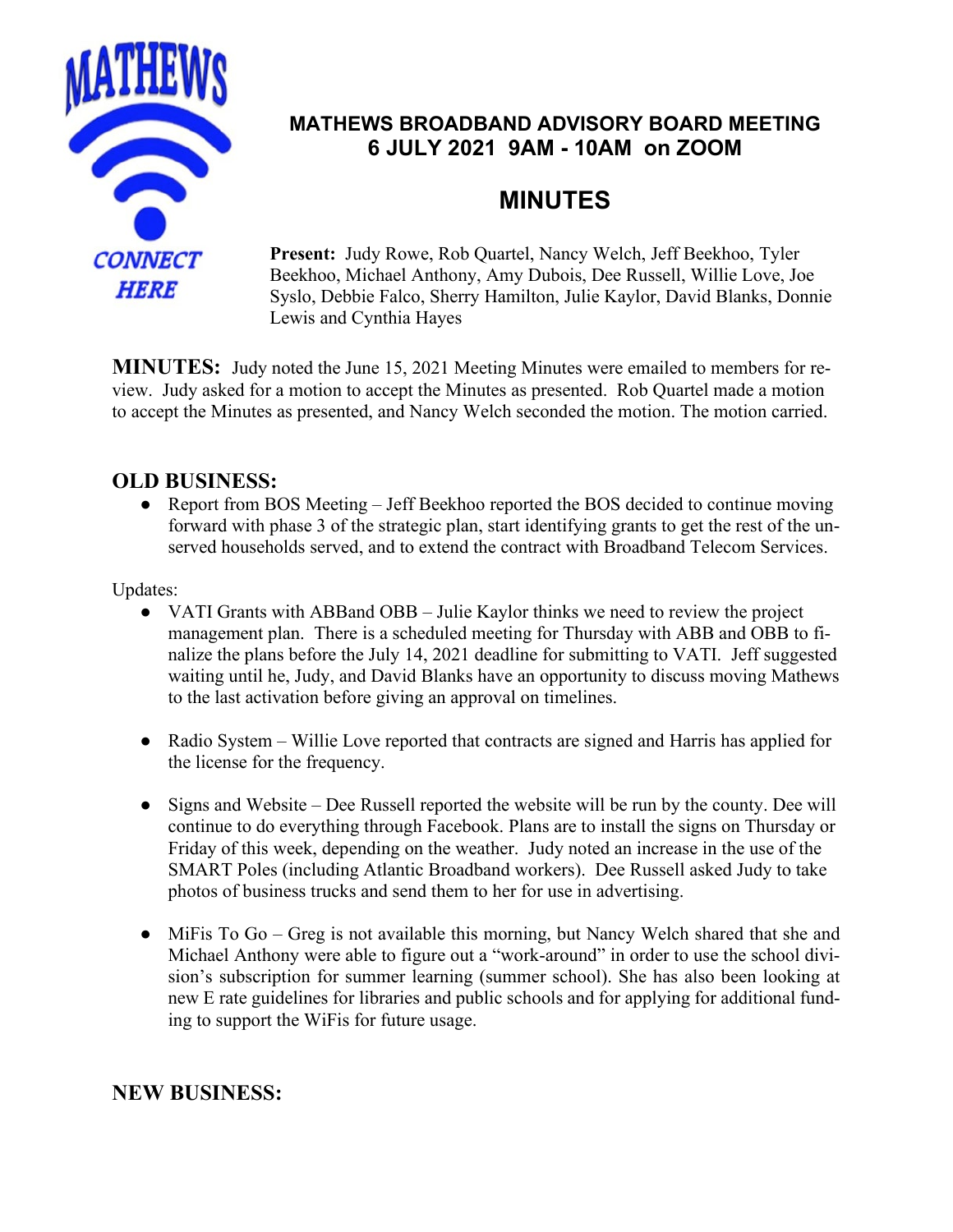

## **MATHEWS BROADBAND ADVISORY BOARD MEETING 6 JULY 2021 9AM - 10AM on ZOOM**

# **MINUTES**

**Present:** Judy Rowe, Rob Quartel, Nancy Welch, Jeff Beekhoo, Tyler Beekhoo, Michael Anthony, Amy Dubois, Dee Russell, Willie Love, Joe Syslo, Debbie Falco, Sherry Hamilton, Julie Kaylor, David Blanks, Donnie Lewis and Cynthia Hayes

**MINUTES:** Judy noted the June 15, 2021 Meeting Minutes were emailed to members for review. Judy asked for a motion to accept the Minutes as presented. Rob Quartel made a motion to accept the Minutes as presented, and Nancy Welch seconded the motion. The motion carried.

## **OLD BUSINESS:**

● Report from BOS Meeting – Jeff Beekhoo reported the BOS decided to continue moving forward with phase 3 of the strategic plan, start identifying grants to get the rest of the unserved households served, and to extend the contract with Broadband Telecom Services.

Updates:

- VATI Grants with ABBand OBB Julie Kaylor thinks we need to review the project management plan. There is a scheduled meeting for Thursday with ABB and OBB to finalize the plans before the July 14, 2021 deadline for submitting to VATI. Jeff suggested waiting until he, Judy, and David Blanks have an opportunity to discuss moving Mathews to the last activation before giving an approval on timelines.
- Radio System Willie Love reported that contracts are signed and Harris has applied for the license for the frequency.
- Signs and Website Dee Russell reported the website will be run by the county. Dee will continue to do everything through Facebook. Plans are to install the signs on Thursday or Friday of this week, depending on the weather. Judy noted an increase in the use of the SMART Poles (including Atlantic Broadband workers). Dee Russell asked Judy to take photos of business trucks and send them to her for use in advertising.
- MiFis To Go Greg is not available this morning, but Nancy Welch shared that she and Michael Anthony were able to figure out a "work-around" in order to use the school division's subscription for summer learning (summer school). She has also been looking at new E rate guidelines for libraries and public schools and for applying for additional funding to support the WiFis for future usage.

## **NEW BUSINESS:**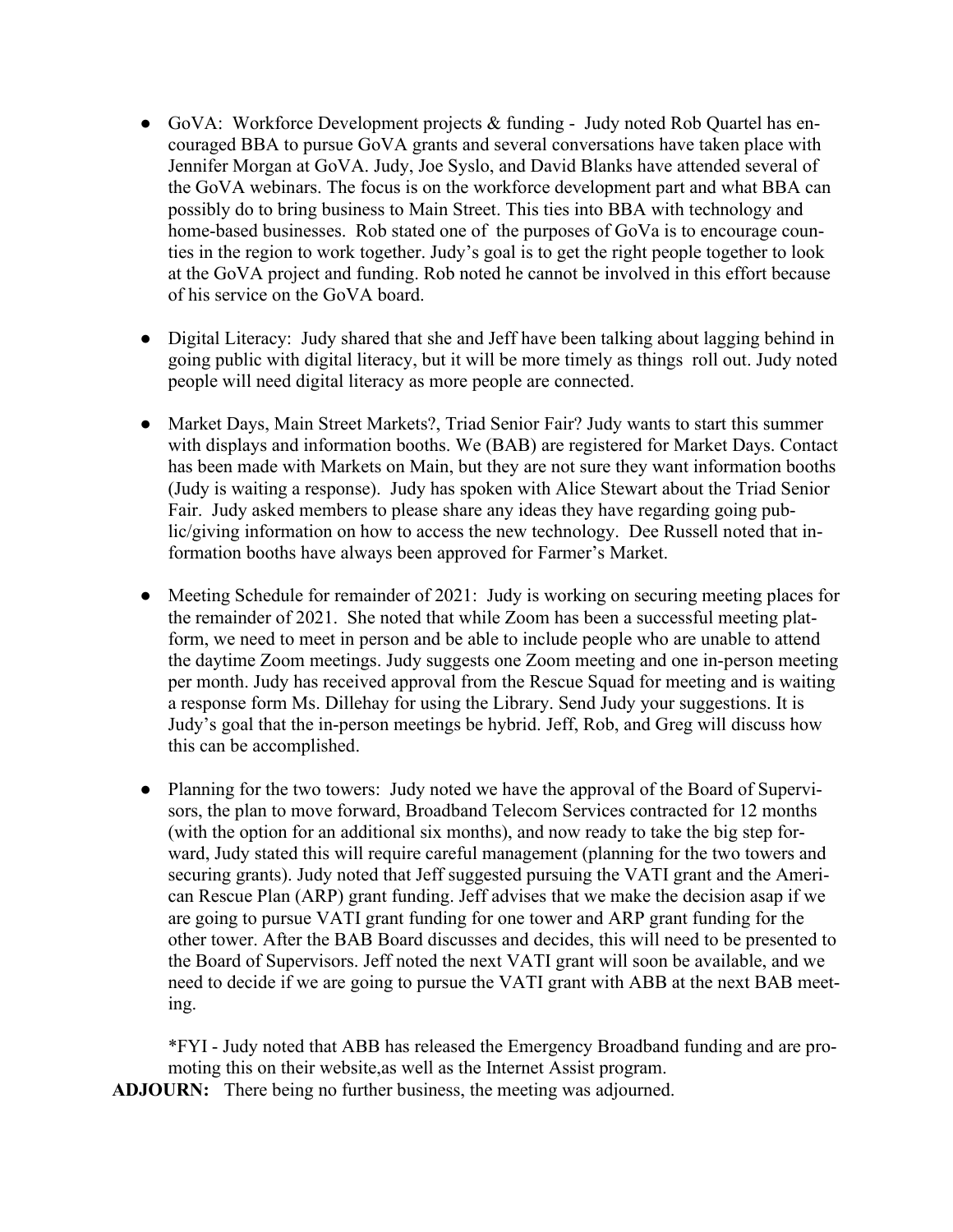- GoVA: Workforce Development projects & funding Judy noted Rob Quartel has encouraged BBA to pursue GoVA grants and several conversations have taken place with Jennifer Morgan at GoVA. Judy, Joe Syslo, and David Blanks have attended several of the GoVA webinars. The focus is on the workforce development part and what BBA can possibly do to bring business to Main Street. This ties into BBA with technology and home-based businesses. Rob stated one of the purposes of GoVa is to encourage counties in the region to work together. Judy's goal is to get the right people together to look at the GoVA project and funding. Rob noted he cannot be involved in this effort because of his service on the GoVA board.
- Digital Literacy: Judy shared that she and Jeff have been talking about lagging behind in going public with digital literacy, but it will be more timely as things roll out. Judy noted people will need digital literacy as more people are connected.
- Market Days, Main Street Markets?, Triad Senior Fair? Judy wants to start this summer with displays and information booths. We (BAB) are registered for Market Days. Contact has been made with Markets on Main, but they are not sure they want information booths (Judy is waiting a response). Judy has spoken with Alice Stewart about the Triad Senior Fair. Judy asked members to please share any ideas they have regarding going public/giving information on how to access the new technology. Dee Russell noted that information booths have always been approved for Farmer's Market.
- Meeting Schedule for remainder of 2021: Judy is working on securing meeting places for the remainder of 2021. She noted that while Zoom has been a successful meeting platform, we need to meet in person and be able to include people who are unable to attend the daytime Zoom meetings. Judy suggests one Zoom meeting and one in-person meeting per month. Judy has received approval from the Rescue Squad for meeting and is waiting a response form Ms. Dillehay for using the Library. Send Judy your suggestions. It is Judy's goal that the in-person meetings be hybrid. Jeff, Rob, and Greg will discuss how this can be accomplished.
- Planning for the two towers: Judy noted we have the approval of the Board of Supervisors, the plan to move forward, Broadband Telecom Services contracted for 12 months (with the option for an additional six months), and now ready to take the big step forward, Judy stated this will require careful management (planning for the two towers and securing grants). Judy noted that Jeff suggested pursuing the VATI grant and the American Rescue Plan (ARP) grant funding. Jeff advises that we make the decision asap if we are going to pursue VATI grant funding for one tower and ARP grant funding for the other tower. After the BAB Board discusses and decides, this will need to be presented to the Board of Supervisors. Jeff noted the next VATI grant will soon be available, and we need to decide if we are going to pursue the VATI grant with ABB at the next BAB meeting.

\*FYI - Judy noted that ABB has released the Emergency Broadband funding and are promoting this on their website,as well as the Internet Assist program.

**ADJOURN:** There being no further business, the meeting was adjourned.